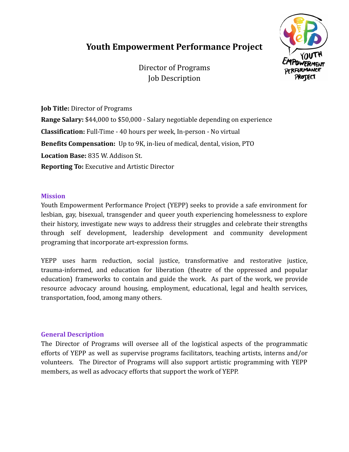# **Youth Empowerment Performance Project**



Director of Programs Job Description

**Job Title:** Director of Programs **Range Salary:** \$44,000 to \$50,000 - Salary negotiable depending on experience **Classification:** Full-Time - 40 hours per week, In-person - No virtual **Benefits Compensation:** Up to 9K, in-lieu of medical, dental, vision, PTO **Location Base:** 835 W. Addison St. **Reporting To:** Executive and Artistic Director

## **Mission**

Youth Empowerment Performance Project (YEPP) seeks to provide a safe environment for lesbian, gay, bisexual, transgender and queer youth experiencing homelessness to explore their history, investigate new ways to address their struggles and celebrate their strengths through self development, leadership development and community development programing that incorporate art-expression forms.

YEPP uses harm reduction, social justice, transformative and restorative justice, trauma-informed, and education for liberation (theatre of the oppressed and popular education) frameworks to contain and guide the work. As part of the work, we provide resource advocacy around housing, employment, educational, legal and health services, transportation, food, among many others.

#### **General Description**

The Director of Programs will oversee all of the logistical aspects of the programmatic efforts of YEPP as well as supervise programs facilitators, teaching artists, interns and/or volunteers. The Director of Programs will also support artistic programming with YEPP members, as well as advocacy efforts that support the work of YEPP.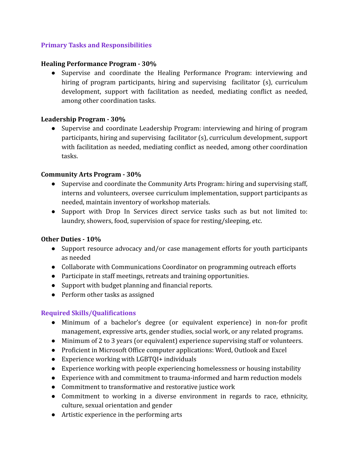# **Primary Tasks and Responsibilities**

#### **Healing Performance Program - 30%**

● Supervise and coordinate the Healing Performance Program: interviewing and hiring of program participants, hiring and supervising facilitator (s), curriculum development, support with facilitation as needed, mediating conflict as needed, among other coordination tasks.

## **Leadership Program - 30%**

● Supervise and coordinate Leadership Program: interviewing and hiring of program participants, hiring and supervising facilitator (s), curriculum development, support with facilitation as needed, mediating conflict as needed, among other coordination tasks.

## **Community Arts Program - 30%**

- Supervise and coordinate the Community Arts Program: hiring and supervising staff, interns and volunteers, oversee curriculum implementation, support participants as needed, maintain inventory of workshop materials.
- Support with Drop In Services direct service tasks such as but not limited to: laundry, showers, food, supervision of space for resting/sleeping, etc.

#### **Other Duties - 10%**

- Support resource advocacy and/or case management efforts for youth participants as needed
- Collaborate with Communications Coordinator on programming outreach efforts
- Participate in staff meetings, retreats and training opportunities.
- Support with budget planning and financial reports.
- Perform other tasks as assigned

# **Required Skills/Qualifications**

- Minimum of a bachelor's degree (or equivalent experience) in non-for profit management, expressive arts, gender studies, social work, or any related programs.
- Minimum of 2 to 3 years (or equivalent) experience supervising staff or volunteers.
- Proficient in Microsoft Office computer applications: Word, Outlook and Excel
- Experience working with LGBTQI+ individuals
- Experience working with people experiencing homelessness or housing instability
- Experience with and commitment to trauma-informed and harm reduction models
- Commitment to transformative and restorative justice work
- Commitment to working in a diverse environment in regards to race, ethnicity, culture, sexual orientation and gender
- Artistic experience in the performing arts